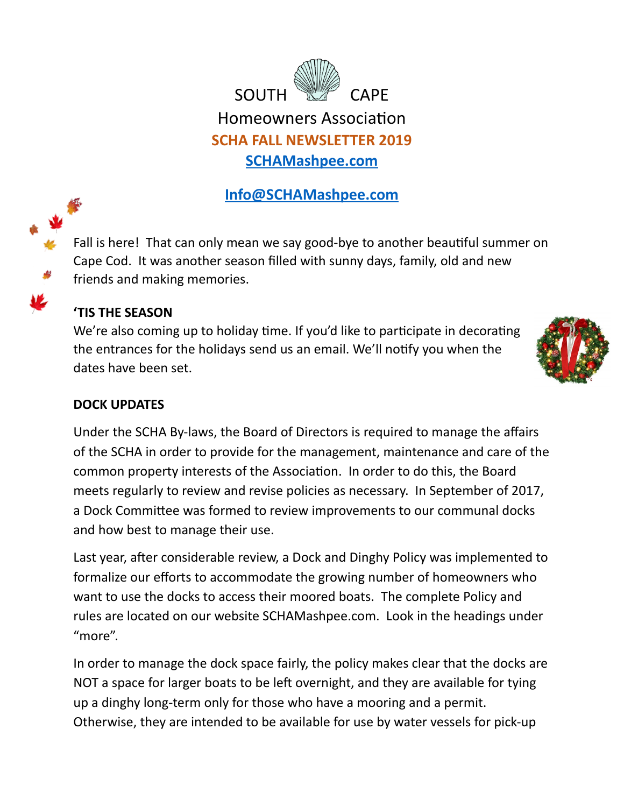<span id="page-0-0"></span>

# **[Info@SCHAMashpee.com](mailto:Info@SCHAMashpee.com)**

Fall is here! That can only mean we say good-bye to another beautiful summer on Cape Cod. It was another season filled with sunny days, family, old and new friends and making memories.

## **'TIS THE SEASON**

We're also coming up to holiday time. If you'd like to participate in decorating the entrances for the holidays send us an email. We'll notify you when the dates have been set.



### **DOCK UPDATES**

Under the SCHA By-laws, the Board of Directors is required to manage the affairs of the SCHA in order to provide for the management, maintenance and care of the common property interests of the Association. In order to do this, the Board meets regularly to review and revise policies as necessary. In September of 2017, a Dock Committee was formed to review improvements to our communal docks and how best to manage their use.

Last year, after considerable review, a Dock and Dinghy Policy was implemented to formalize our efforts to accommodate the growing number of homeowners who want to use the docks to access their moored boats. The complete Policy and rules are located on our website SCHAMashpee.com. Look in the headings under "more".

In order to manage the dock space fairly, the policy makes clear that the docks are NOT a space for larger boats to be left overnight, and they are available for tying up a dinghy long-term only for those who have a mooring and a permit. Otherwise, they are intended to be available for use by water vessels for pick-up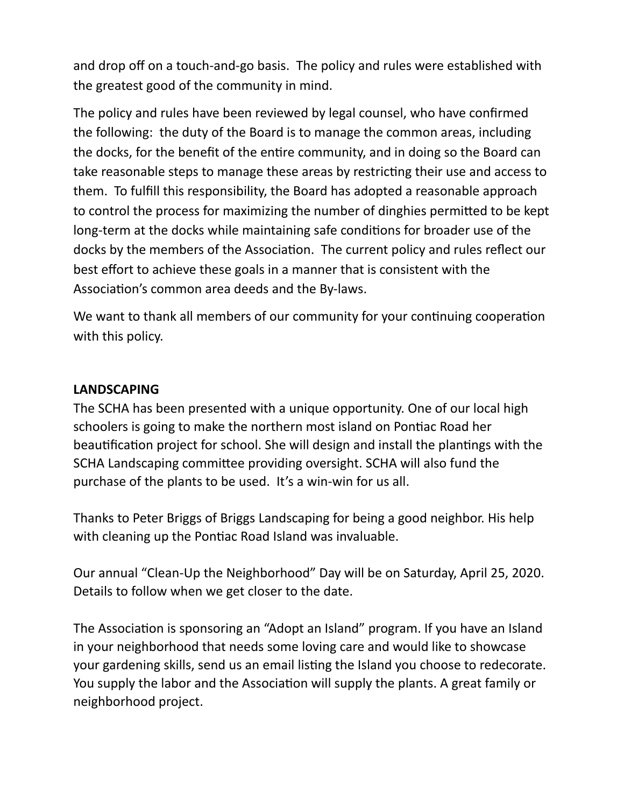and drop off on a touch-and-go basis. The policy and rules were established with the greatest good of the community in mind.

The policy and rules have been reviewed by legal counsel, who have confirmed the following: the duty of the Board is to manage the common areas, including the docks, for the benefit of the entire community, and in doing so the Board can take reasonable steps to manage these areas by restricting their use and access to them. To fulfill this responsibility, the Board has adopted a reasonable approach to control the process for maximizing the number of dinghies permitted to be kept long-term at the docks while maintaining safe conditions for broader use of the docks by the members of the Association. The current policy and rules reflect our best effort to achieve these goals in a manner that is consistent with the Association's common area deeds and the By-laws.

We want to thank all members of our community for your continuing cooperation with this policy.

#### **LANDSCAPING**

The SCHA has been presented with a unique opportunity. One of our local high schoolers is going to make the northern most island on Pontiac Road her beautification project for school. She will design and install the plantings with the SCHA Landscaping committee providing oversight. SCHA will also fund the purchase of the plants to be used. It's a win-win for us all.

Thanks to Peter Briggs of Briggs Landscaping for being a good neighbor. His help with cleaning up the Pontiac Road Island was invaluable.

Our annual "Clean-Up the Neighborhood" Day will be on Saturday, April 25, 2020. Details to follow when we get closer to the date.

The Association is sponsoring an "Adopt an Island" program. If you have an Island in your neighborhood that needs some loving care and would like to showcase your gardening skills, send us an email listing the Island you choose to redecorate. You supply the labor and the Association will supply the plants. A great family or neighborhood project.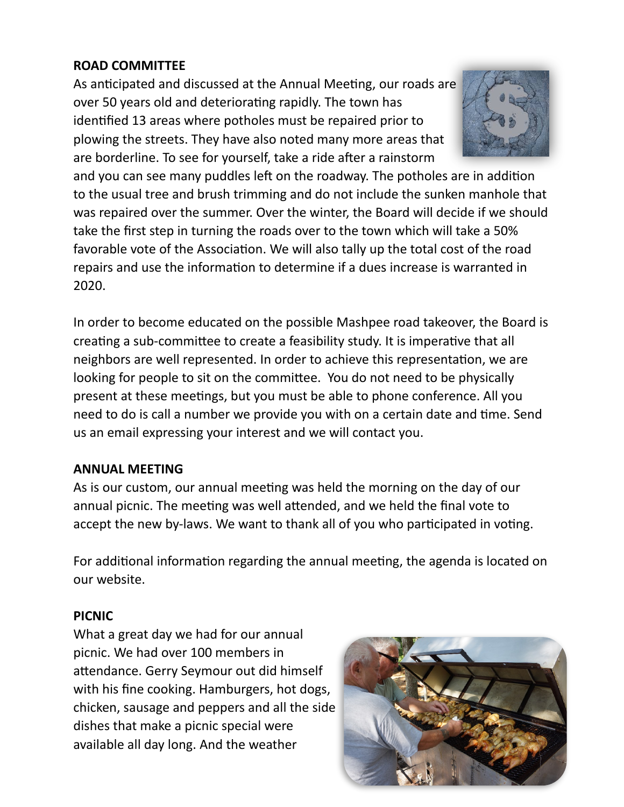## **ROAD COMMITTEE**

As anticipated and discussed at the Annual Meeting, our roads are over 50 years old and deteriorating rapidly. The town has identified 13 areas where potholes must be repaired prior to plowing the streets. They have also noted many more areas that are borderline. To see for yourself, take a ride after a rainstorm



and you can see many puddles left on the roadway. The potholes are in addition to the usual tree and brush trimming and do not include the sunken manhole that was repaired over the summer. Over the winter, the Board will decide if we should take the first step in turning the roads over to the town which will take a 50% favorable vote of the Association. We will also tally up the total cost of the road repairs and use the information to determine if a dues increase is warranted in 2020.

In order to become educated on the possible Mashpee road takeover, the Board is creating a sub-committee to create a feasibility study. It is imperative that all neighbors are well represented. In order to achieve this representation, we are looking for people to sit on the committee. You do not need to be physically present at these meetings, but you must be able to phone conference. All you need to do is call a number we provide you with on a certain date and time. Send us an email expressing your interest and we will contact you.

## **ANNUAL MEETING**

As is our custom, our annual meeting was held the morning on the day of our annual picnic. The meeting was well attended, and we held the final vote to accept the new by-laws. We want to thank all of you who participated in voting.

For additional information regarding the annual meeting, the agenda is located on our website.

#### **PICNIC**

What a great day we had for our annual picnic. We had over 100 members in attendance. Gerry Seymour out did himself with his fine cooking. Hamburgers, hot dogs, chicken, sausage and peppers and all the side dishes that make a picnic special were available all day long. And the weather

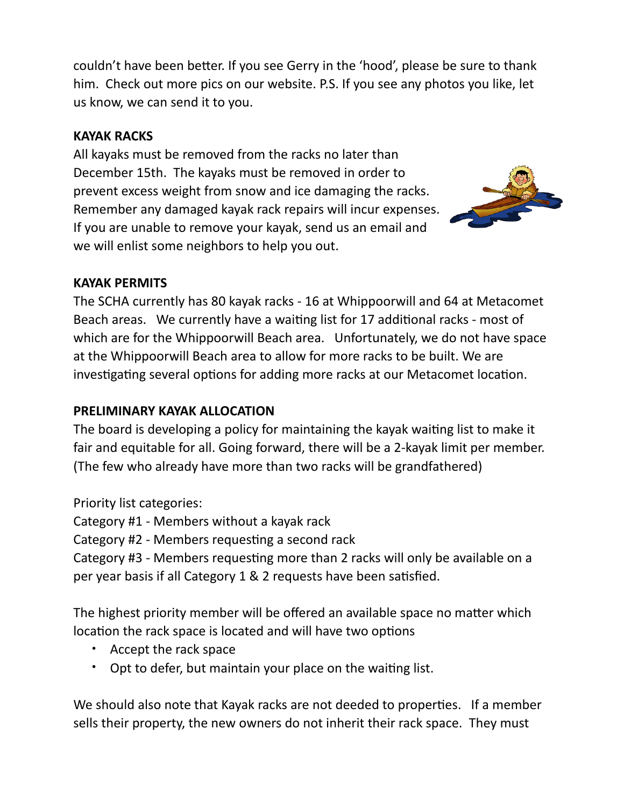couldn't have been better. If you see Gerry in the 'hood', please be sure to thank him. Check out more pics on our website. P.S. If you see any photos you like, let us know, we can send it to you.

## **KAYAK RACKS**

All kayaks must be removed from the racks no later than December 15th. The kayaks must be removed in order to prevent excess weight from snow and ice damaging the racks. Remember any damaged kayak rack repairs will incur expenses. If you are unable to remove your kayak, send us an email and we will enlist some neighbors to help you out.



#### **KAYAK PERMITS**

The SCHA currently has 80 kayak racks - 16 at Whippoorwill and 64 at Metacomet Beach areas. We currently have a waiting list for 17 additional racks - most of which are for the Whippoorwill Beach area. Unfortunately, we do not have space at the Whippoorwill Beach area to allow for more racks to be built. We are investigating several options for adding more racks at our Metacomet location.

## **PRELIMINARY KAYAK ALLOCATION**

The board is developing a policy for maintaining the kayak waiting list to make it fair and equitable for all. Going forward, there will be a 2-kayak limit per member. (The few who already have more than two racks will be grandfathered)

Priority list categories:

Category #1 - Members without a kayak rack

Category #2 - Members requesting a second rack

Category #3 - Members requesting more than 2 racks will only be available on a per year basis if all Category  $1 \& 2$  requests have been satisfied.

The highest priority member will be offered an available space no matter which location the rack space is located and will have two options

- Accept the rack space
- Opt to defer, but maintain your place on the waiting list.

We should also note that Kayak racks are not deeded to properties. If a member sells their property, the new owners do not inherit their rack space. They must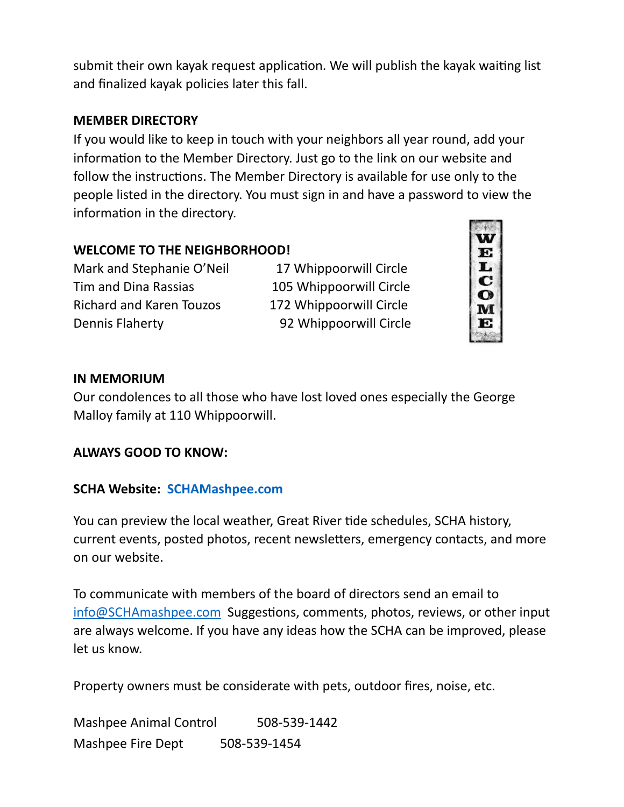submit their own kayak request application. We will publish the kayak waiting list and finalized kayak policies later this fall.

#### **MEMBER DIRECTORY**

If you would like to keep in touch with your neighbors all year round, add your information to the Member Directory. Just go to the link on our website and follow the instructions. The Member Directory is available for use only to the people listed in the directory. You must sign in and have a password to view the information in the directory.

## **WELCOME TO THE NEIGHBORHOOD!**

Mark and Stephanie O'Neil 17 Whippoorwill Circle Tim and Dina Rassias 105 Whippoorwill Circle Richard and Karen Touzos 172 Whippoorwill Circle Dennis Flaherty 92 Whippoorwill Circle



#### **IN MEMORIUM**

Our condolences to all those who have lost loved ones especially the George Malloy family at 110 Whippoorwill.

#### **ALWAYS GOOD TO KNOW:**

#### **SCHA Website: [SCHAMashpee.com](#page-0-0)**

You can preview the local weather, Great River tide schedules, SCHA history, current events, posted photos, recent newsletters, emergency contacts, and more on our website.

To communicate with members of the board of directors send an email to  $info@SCHAmashpee.com$  Suggestions, comments, photos, reviews, or other input are always welcome. If you have any ideas how the SCHA can be improved, please let us know.

Property owners must be considerate with pets, outdoor fires, noise, etc.

Mashpee Animal Control 508-539-1442 Mashpee Fire Dept 508-539-1454